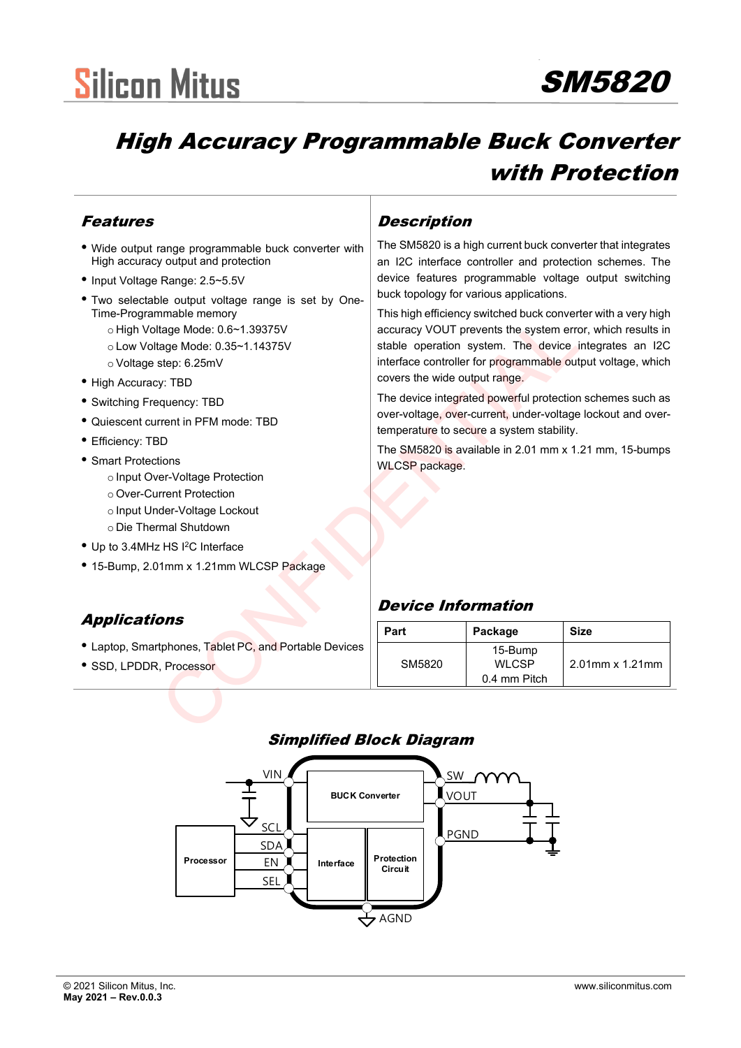# **Silicon Mitus**

## SM5820

### High Accuracy Programmable Buck Converter with Protection

#### Features

- Wide output range programmable buck converter with High accuracy output and protection
- Input Voltage Range: 2.5~5.5V
- Two selectable output voltage range is set by One-Time-Programmable memory
	- o High Voltage Mode: 0.6~1.39375V
	- o Low Voltage Mode: 0.35~1.14375V
	- o Voltage step: 6.25mV
- High Accuracy: TBD
- Switching Frequency: TBD
- Quiescent current in PFM mode: TBD
- Efficiency: TBD
- Smart Protections
	- o Input Over-Voltage Protection
	- o Over-Current Protection
	- o Input Under-Voltage Lockout
	- o Die Thermal Shutdown
- Up to 3.4MHz HS I<sup>2</sup>C Interface
- 15-Bump, 2.01mm x 1.21mm WLCSP Package

#### Applications

- Laptop, Smartphones, Tablet PC, and Portable Devices
- SSD, LPDDR, Processor

#### **Description**

The SM5820 is a high current buck converter that integrates an I2C interface controller and protection schemes. The device features programmable voltage output switching buck topology for various applications.

This high efficiency switched buck converter with a very high accuracy VOUT prevents the system error, which results in stable operation system. The device integrates an I2C interface controller for programmable output voltage, which covers the wide output range.

#### Device Information

| illiable filefilory<br>tage Mode: 0.6~1.39375V<br>age Mode: 0.35~1.14375V<br>step: 6.25mV<br>y: TBD                                               | THIS HIGH EMCRITCY SWITCHED DUCK CONVENTER WILL A VEHY HIGH<br>accuracy VOUT prevents the system error, which results in<br>stable operation system. The device integrates an I2C<br>interface controller for programmable output voltage, which<br>covers the wide output range.<br>The device integrated powerful protection schemes such as<br>over-voltage, over-current, under-voltage lockout and over-<br>temperature to secure a system stability.<br>The SM5820 is available in 2.01 mm x 1.21 mm, 15-bumps<br><b>WLCSP</b> package. |                                         |                 |  |
|---------------------------------------------------------------------------------------------------------------------------------------------------|-----------------------------------------------------------------------------------------------------------------------------------------------------------------------------------------------------------------------------------------------------------------------------------------------------------------------------------------------------------------------------------------------------------------------------------------------------------------------------------------------------------------------------------------------|-----------------------------------------|-----------------|--|
| quency: TBD<br>rrent in PFM mode: TBD<br>١D<br>ions                                                                                               |                                                                                                                                                                                                                                                                                                                                                                                                                                                                                                                                               |                                         |                 |  |
| er-Voltage Protection<br>rrent Protection<br>der-Voltage Lockout<br>mal Shutdown<br>: HS I <sup>2</sup> C Interface<br>1mm x 1.21mm WLCSP Package |                                                                                                                                                                                                                                                                                                                                                                                                                                                                                                                                               |                                         |                 |  |
| ons                                                                                                                                               | <b>Device Information</b>                                                                                                                                                                                                                                                                                                                                                                                                                                                                                                                     |                                         |                 |  |
|                                                                                                                                                   | Part                                                                                                                                                                                                                                                                                                                                                                                                                                                                                                                                          | Package                                 | <b>Size</b>     |  |
| tphones, Tablet PC, and Portable Devices<br>, Processor                                                                                           | SM5820                                                                                                                                                                                                                                                                                                                                                                                                                                                                                                                                        | 15-Bump<br><b>WLCSP</b><br>0.4 mm Pitch | 2.01mm x 1.21mm |  |
|                                                                                                                                                   |                                                                                                                                                                                                                                                                                                                                                                                                                                                                                                                                               |                                         |                 |  |

#### Simplified Block Diagram